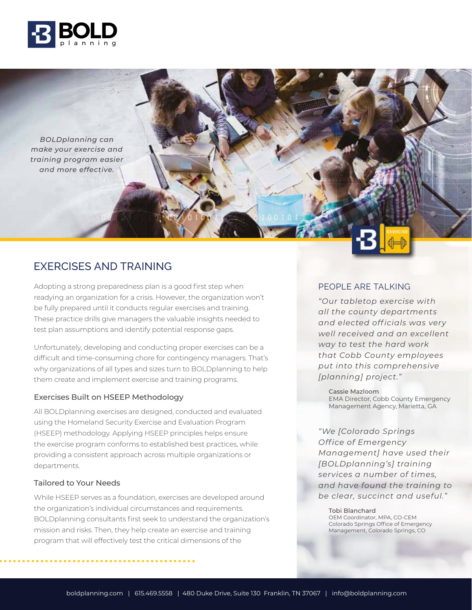

*BOLDplanning can make your exercise and training program easier and more effective.*

# EXERCISES AND TRAINING

Adopting a strong preparedness plan is a good first step when PEOPLE ARE TALKING readying an organization for a crisis. However, the organization won't be fully prepared until it conducts regular exercises and training. These practice drills give managers the valuable insights needed to test plan assumptions and identify potential response gaps.

Unfortunately, developing and conducting proper exercises can be a difficult and time-consuming chore for contingency managers. That's why organizations of all types and sizes turn to BOLDplanning to help them create and implement exercise and training programs.

#### Exercises Built on HSEEP Methodology

All BOLDplanning exercises are designed, conducted and evaluated using the Homeland Security Exercise and Evaluation Program (HSEEP) methodology. Applying HSEEP principles helps ensure the exercise program conforms to established best practices, while providing a consistent approach across multiple organizations or departments.

#### Tailored to Your Needs

While HSEEP serves as a foundation, exercises are developed around the organization's individual circumstances and requirements. BOLDplanning consultants first seek to understand the organization's mission and risks. Then, they help create an exercise and training program that will effectively test the critical dimensions of the

*"Our tabletop exercise with all the county departments and elected off icials was very well received and an excellent way to test the hard work that Cobb County employees put into this comprehensive [planning] project."*

Cassie Mazloom EMA Director, Cobb County Emergency Management Agency, Marietta, GA

*"We [Colorado Springs Off ice of Emergency Management] have used their [BOLDplanning's] training services a number of times, and have found the training to be clear, succinct and useful."* 

#### Tobi Blanchard OEM Coordinator, MPA, CO-CEM Colorado Springs Office of Emergency Management, Colorado Springs, CO